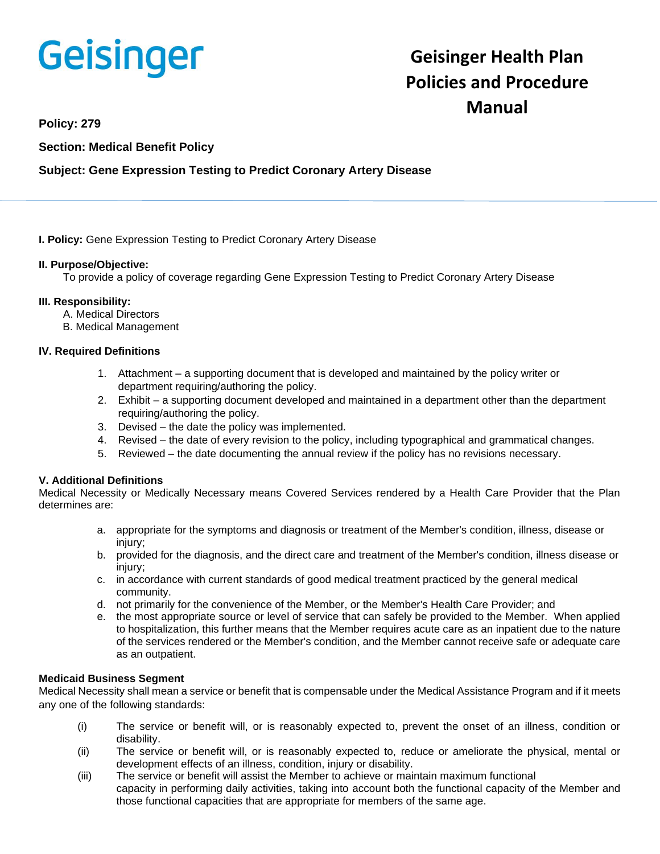# Geisinger

# **Geisinger Health Plan Policies and Procedure Manual**

**Policy: 279**

**Section: Medical Benefit Policy**

### **Subject: Gene Expression Testing to Predict Coronary Artery Disease**

**I. Policy:** Gene Expression Testing to Predict Coronary Artery Disease

#### **II. Purpose/Objective:**

To provide a policy of coverage regarding Gene Expression Testing to Predict Coronary Artery Disease

#### **III. Responsibility:**

- A. Medical Directors
- B. Medical Management

#### **IV. Required Definitions**

- 1. Attachment a supporting document that is developed and maintained by the policy writer or department requiring/authoring the policy.
- 2. Exhibit a supporting document developed and maintained in a department other than the department requiring/authoring the policy.
- 3. Devised the date the policy was implemented.
- 4. Revised the date of every revision to the policy, including typographical and grammatical changes.
- 5. Reviewed the date documenting the annual review if the policy has no revisions necessary.

#### **V. Additional Definitions**

Medical Necessity or Medically Necessary means Covered Services rendered by a Health Care Provider that the Plan determines are:

- a. appropriate for the symptoms and diagnosis or treatment of the Member's condition, illness, disease or injury;
- b. provided for the diagnosis, and the direct care and treatment of the Member's condition, illness disease or injury;
- c. in accordance with current standards of good medical treatment practiced by the general medical community.
- d. not primarily for the convenience of the Member, or the Member's Health Care Provider; and
- e. the most appropriate source or level of service that can safely be provided to the Member. When applied to hospitalization, this further means that the Member requires acute care as an inpatient due to the nature of the services rendered or the Member's condition, and the Member cannot receive safe or adequate care as an outpatient.

#### **Medicaid Business Segment**

Medical Necessity shall mean a service or benefit that is compensable under the Medical Assistance Program and if it meets any one of the following standards:

- (i) The service or benefit will, or is reasonably expected to, prevent the onset of an illness, condition or disability.
- (ii) The service or benefit will, or is reasonably expected to, reduce or ameliorate the physical, mental or development effects of an illness, condition, injury or disability.
- (iii) The service or benefit will assist the Member to achieve or maintain maximum functional capacity in performing daily activities, taking into account both the functional capacity of the Member and those functional capacities that are appropriate for members of the same age.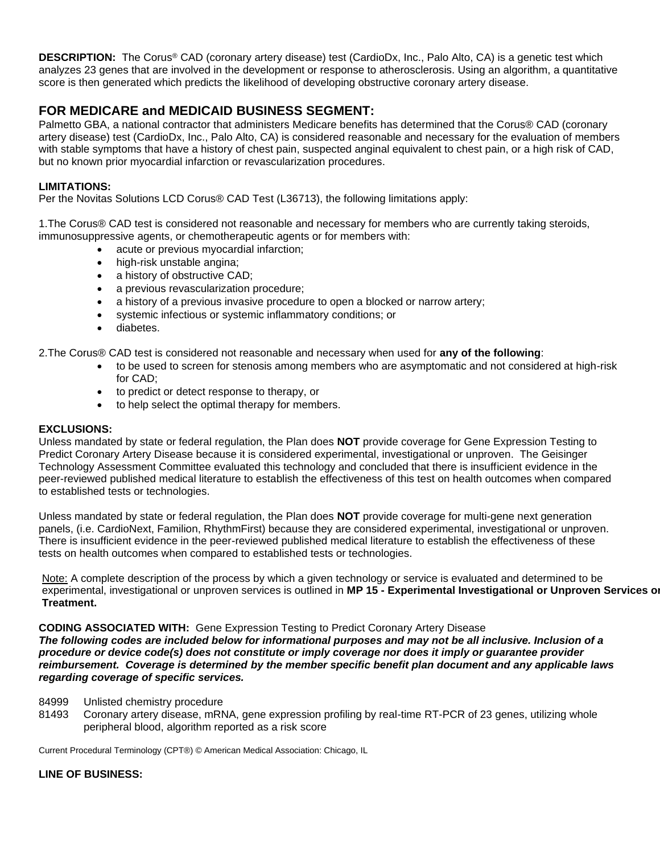**DESCRIPTION:** The Corus® CAD (coronary artery disease) test (CardioDx, Inc., Palo Alto, CA) is a genetic test which analyzes 23 genes that are involved in the development or response to atherosclerosis. Using an algorithm, a quantitative score is then generated which predicts the likelihood of developing obstructive coronary artery disease.

## **FOR MEDICARE and MEDICAID BUSINESS SEGMENT:**

Palmetto GBA, a national contractor that administers Medicare benefits has determined that the Corus® CAD (coronary artery disease) test (CardioDx, Inc., Palo Alto, CA) is considered reasonable and necessary for the evaluation of members with stable symptoms that have a history of chest pain, suspected anginal equivalent to chest pain, or a high risk of CAD, but no known prior myocardial infarction or revascularization procedures.

#### **LIMITATIONS:**

Per the Novitas Solutions LCD Corus® CAD Test (L36713), the following limitations apply:

1.The Corus® CAD test is considered not reasonable and necessary for members who are currently taking steroids, immunosuppressive agents, or chemotherapeutic agents or for members with:

- acute or previous myocardial infarction;
- high-risk unstable angina;
- a history of obstructive CAD;
- a previous revascularization procedure;
- a history of a previous invasive procedure to open a blocked or narrow artery;
- systemic infectious or systemic inflammatory conditions; or
- diabetes.

2.The Corus® CAD test is considered not reasonable and necessary when used for **any of the following**:

- to be used to screen for stenosis among members who are asymptomatic and not considered at high-risk for CAD;
- to predict or detect response to therapy, or
- to help select the optimal therapy for members.

#### **EXCLUSIONS:**

Unless mandated by state or federal regulation, the Plan does **NOT** provide coverage for Gene Expression Testing to Predict Coronary Artery Disease because it is considered experimental, investigational or unproven. The Geisinger Technology Assessment Committee evaluated this technology and concluded that there is insufficient evidence in the peer-reviewed published medical literature to establish the effectiveness of this test on health outcomes when compared to established tests or technologies.

Unless mandated by state or federal regulation, the Plan does **NOT** provide coverage for multi-gene next generation panels, (i.e. CardioNext, Familion, RhythmFirst) because they are considered experimental, investigational or unproven. There is insufficient evidence in the peer-reviewed published medical literature to establish the effectiveness of these tests on health outcomes when compared to established tests or technologies.

Note: A complete description of the process by which a given technology or service is evaluated and determined to be experimental, investigational or unproven services is outlined in **MP 15 - Experimental Investigational or Unproven Services or Treatment.**

**CODING ASSOCIATED WITH:** Gene Expression Testing to Predict Coronary Artery Disease *The following codes are included below for informational purposes and may not be all inclusive. Inclusion of a procedure or device code(s) does not constitute or imply coverage nor does it imply or guarantee provider reimbursement. Coverage is determined by the member specific benefit plan document and any applicable laws regarding coverage of specific services.*

- 84999 Unlisted chemistry procedure
- 81493 Coronary artery disease, mRNA, gene expression profiling by real-time RT-PCR of 23 genes, utilizing whole peripheral blood, algorithm reported as a risk score

Current Procedural Terminology (CPT®) © American Medical Association: Chicago, IL

#### **LINE OF BUSINESS:**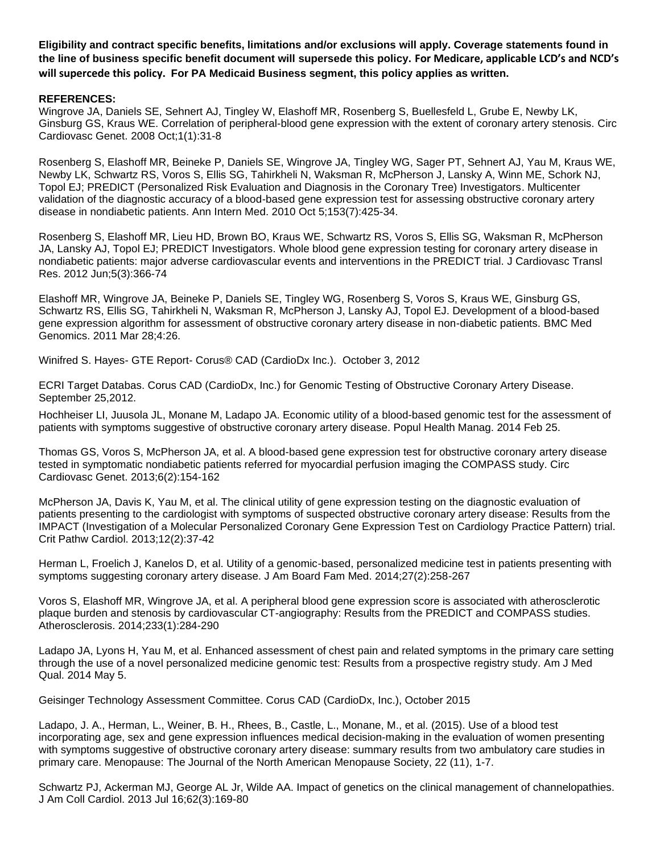**Eligibility and contract specific benefits, limitations and/or exclusions will apply. Coverage statements found in the line of business specific benefit document will supersede this policy. For Medicare, applicable LCD's and NCD's will supercede this policy. For PA Medicaid Business segment, this policy applies as written.**

#### **REFERENCES:**

[Wingrove JA,](http://www.ncbi.nlm.nih.gov/pubmed?term=Wingrove%20JA%5BAuthor%5D&cauthor=true&cauthor_uid=20031539) [Daniels SE,](http://www.ncbi.nlm.nih.gov/pubmed?term=Daniels%20SE%5BAuthor%5D&cauthor=true&cauthor_uid=20031539) [Sehnert AJ,](http://www.ncbi.nlm.nih.gov/pubmed?term=Sehnert%20AJ%5BAuthor%5D&cauthor=true&cauthor_uid=20031539) [Tingley W,](http://www.ncbi.nlm.nih.gov/pubmed?term=Tingley%20W%5BAuthor%5D&cauthor=true&cauthor_uid=20031539) [Elashoff MR,](http://www.ncbi.nlm.nih.gov/pubmed?term=Elashoff%20MR%5BAuthor%5D&cauthor=true&cauthor_uid=20031539) [Rosenberg S,](http://www.ncbi.nlm.nih.gov/pubmed?term=Rosenberg%20S%5BAuthor%5D&cauthor=true&cauthor_uid=20031539) [Buellesfeld L,](http://www.ncbi.nlm.nih.gov/pubmed?term=Buellesfeld%20L%5BAuthor%5D&cauthor=true&cauthor_uid=20031539) [Grube E,](http://www.ncbi.nlm.nih.gov/pubmed?term=Grube%20E%5BAuthor%5D&cauthor=true&cauthor_uid=20031539) [Newby LK,](http://www.ncbi.nlm.nih.gov/pubmed?term=Newby%20LK%5BAuthor%5D&cauthor=true&cauthor_uid=20031539) [Ginsburg GS,](http://www.ncbi.nlm.nih.gov/pubmed?term=Ginsburg%20GS%5BAuthor%5D&cauthor=true&cauthor_uid=20031539) [Kraus WE.](http://www.ncbi.nlm.nih.gov/pubmed?term=Kraus%20WE%5BAuthor%5D&cauthor=true&cauthor_uid=20031539) Correlation of peripheral-blood gene expression with the extent of coronary artery stenosis. [Circ](http://www.ncbi.nlm.nih.gov/pubmed/?term=Correlation+of+peripheral-blood+gene+expression+with+the+extent+of+coronary+artery+stenosis.)  [Cardiovasc Genet.](http://www.ncbi.nlm.nih.gov/pubmed/?term=Correlation+of+peripheral-blood+gene+expression+with+the+extent+of+coronary+artery+stenosis.) 2008 Oct;1(1):31-8

[Rosenberg S,](http://www.ncbi.nlm.nih.gov/pubmed?term=Rosenberg%20S%5BAuthor%5D&cauthor=true&cauthor_uid=20921541) [Elashoff MR,](http://www.ncbi.nlm.nih.gov/pubmed?term=Elashoff%20MR%5BAuthor%5D&cauthor=true&cauthor_uid=20921541) [Beineke P,](http://www.ncbi.nlm.nih.gov/pubmed?term=Beineke%20P%5BAuthor%5D&cauthor=true&cauthor_uid=20921541) [Daniels SE,](http://www.ncbi.nlm.nih.gov/pubmed?term=Daniels%20SE%5BAuthor%5D&cauthor=true&cauthor_uid=20921541) [Wingrove JA,](http://www.ncbi.nlm.nih.gov/pubmed?term=Wingrove%20JA%5BAuthor%5D&cauthor=true&cauthor_uid=20921541) [Tingley WG,](http://www.ncbi.nlm.nih.gov/pubmed?term=Tingley%20WG%5BAuthor%5D&cauthor=true&cauthor_uid=20921541) [Sager PT,](http://www.ncbi.nlm.nih.gov/pubmed?term=Sager%20PT%5BAuthor%5D&cauthor=true&cauthor_uid=20921541) [Sehnert AJ,](http://www.ncbi.nlm.nih.gov/pubmed?term=Sehnert%20AJ%5BAuthor%5D&cauthor=true&cauthor_uid=20921541) [Yau M,](http://www.ncbi.nlm.nih.gov/pubmed?term=Yau%20M%5BAuthor%5D&cauthor=true&cauthor_uid=20921541) [Kraus WE,](http://www.ncbi.nlm.nih.gov/pubmed?term=Kraus%20WE%5BAuthor%5D&cauthor=true&cauthor_uid=20921541) [Newby LK,](http://www.ncbi.nlm.nih.gov/pubmed?term=Newby%20LK%5BAuthor%5D&cauthor=true&cauthor_uid=20921541) [Schwartz RS,](http://www.ncbi.nlm.nih.gov/pubmed?term=Schwartz%20RS%5BAuthor%5D&cauthor=true&cauthor_uid=20921541) [Voros S,](http://www.ncbi.nlm.nih.gov/pubmed?term=Voros%20S%5BAuthor%5D&cauthor=true&cauthor_uid=20921541) [Ellis SG,](http://www.ncbi.nlm.nih.gov/pubmed?term=Ellis%20SG%5BAuthor%5D&cauthor=true&cauthor_uid=20921541) [Tahirkheli N,](http://www.ncbi.nlm.nih.gov/pubmed?term=Tahirkheli%20N%5BAuthor%5D&cauthor=true&cauthor_uid=20921541) [Waksman R,](http://www.ncbi.nlm.nih.gov/pubmed?term=Waksman%20R%5BAuthor%5D&cauthor=true&cauthor_uid=20921541) [McPherson J,](http://www.ncbi.nlm.nih.gov/pubmed?term=McPherson%20J%5BAuthor%5D&cauthor=true&cauthor_uid=20921541) [Lansky A,](http://www.ncbi.nlm.nih.gov/pubmed?term=Lansky%20A%5BAuthor%5D&cauthor=true&cauthor_uid=20921541) [Winn ME,](http://www.ncbi.nlm.nih.gov/pubmed?term=Winn%20ME%5BAuthor%5D&cauthor=true&cauthor_uid=20921541) [Schork NJ,](http://www.ncbi.nlm.nih.gov/pubmed?term=Schork%20NJ%5BAuthor%5D&cauthor=true&cauthor_uid=20921541) [Topol EJ;](http://www.ncbi.nlm.nih.gov/pubmed?term=Topol%20EJ%5BAuthor%5D&cauthor=true&cauthor_uid=20921541) [PREDICT \(Personalized Risk Evaluation and Diagnosis in the Coronary Tree\) Investigators.](http://www.ncbi.nlm.nih.gov/pubmed?term=%22PREDICT%20(Personalized%20Risk%20Evaluation%20and%20Diagnosis%20in%20the%20Coronary%20Tree)%20Investigators%22%5BCorporate%20Author%5D) Multicenter validation of the diagnostic accuracy of a blood-based gene expression test for assessing obstructive coronary artery disease in nondiabetic patients. [Ann Intern Med.](http://www.ncbi.nlm.nih.gov/pubmed/?term=PREDICT+(Personalized+Risk+Evaluation+and+Diagnosis+in+the+Coronary+Tree)+Investigators.+Multicenter+validation+of+the+diagnostic+accuracy+of+a+blood-based+gene+expression+test+for+assessing+obstructive+coronary+artery+disease+in+nondiabetic+patients) 2010 Oct 5;153(7):425-34.

[Rosenberg S,](http://www.ncbi.nlm.nih.gov/pubmed?term=Rosenberg%20S%5BAuthor%5D&cauthor=true&cauthor_uid=22396313) [Elashoff MR,](http://www.ncbi.nlm.nih.gov/pubmed?term=Elashoff%20MR%5BAuthor%5D&cauthor=true&cauthor_uid=22396313) [Lieu HD,](http://www.ncbi.nlm.nih.gov/pubmed?term=Lieu%20HD%5BAuthor%5D&cauthor=true&cauthor_uid=22396313) [Brown BO,](http://www.ncbi.nlm.nih.gov/pubmed?term=Brown%20BO%5BAuthor%5D&cauthor=true&cauthor_uid=22396313) [Kraus WE,](http://www.ncbi.nlm.nih.gov/pubmed?term=Kraus%20WE%5BAuthor%5D&cauthor=true&cauthor_uid=22396313) [Schwartz RS,](http://www.ncbi.nlm.nih.gov/pubmed?term=Schwartz%20RS%5BAuthor%5D&cauthor=true&cauthor_uid=22396313) [Voros S,](http://www.ncbi.nlm.nih.gov/pubmed?term=Voros%20S%5BAuthor%5D&cauthor=true&cauthor_uid=22396313) [Ellis SG,](http://www.ncbi.nlm.nih.gov/pubmed?term=Ellis%20SG%5BAuthor%5D&cauthor=true&cauthor_uid=22396313) [Waksman R,](http://www.ncbi.nlm.nih.gov/pubmed?term=Waksman%20R%5BAuthor%5D&cauthor=true&cauthor_uid=22396313) [McPherson](http://www.ncbi.nlm.nih.gov/pubmed?term=McPherson%20JA%5BAuthor%5D&cauthor=true&cauthor_uid=22396313)  [JA,](http://www.ncbi.nlm.nih.gov/pubmed?term=McPherson%20JA%5BAuthor%5D&cauthor=true&cauthor_uid=22396313) [Lansky AJ,](http://www.ncbi.nlm.nih.gov/pubmed?term=Lansky%20AJ%5BAuthor%5D&cauthor=true&cauthor_uid=22396313) [Topol EJ;](http://www.ncbi.nlm.nih.gov/pubmed?term=Topol%20EJ%5BAuthor%5D&cauthor=true&cauthor_uid=22396313) [PREDICT Investigators.](http://www.ncbi.nlm.nih.gov/pubmed?term=PREDICT%20Investigators%5BCorporate%20Author%5D) Whole blood gene expression testing for coronary artery disease in nondiabetic patients: major adverse cardiovascular events and interventions in the PREDICT trial. [J Cardiovasc Transl](http://www.ncbi.nlm.nih.gov/pubmed/?term=Whole+blood+gene+expression+testing+for+coronary+artery+disease+in+nondiabetic+patients%3A+major+adverse+cardiovascular+events+and+interventions)  [Res.](http://www.ncbi.nlm.nih.gov/pubmed/?term=Whole+blood+gene+expression+testing+for+coronary+artery+disease+in+nondiabetic+patients%3A+major+adverse+cardiovascular+events+and+interventions) 2012 Jun;5(3):366-74

[Elashoff MR,](http://www.ncbi.nlm.nih.gov/pubmed?term=Elashoff%20MR%5BAuthor%5D&cauthor=true&cauthor_uid=21443790) [Wingrove JA,](http://www.ncbi.nlm.nih.gov/pubmed?term=Wingrove%20JA%5BAuthor%5D&cauthor=true&cauthor_uid=21443790) [Beineke P,](http://www.ncbi.nlm.nih.gov/pubmed?term=Beineke%20P%5BAuthor%5D&cauthor=true&cauthor_uid=21443790) [Daniels SE,](http://www.ncbi.nlm.nih.gov/pubmed?term=Daniels%20SE%5BAuthor%5D&cauthor=true&cauthor_uid=21443790) [Tingley WG,](http://www.ncbi.nlm.nih.gov/pubmed?term=Tingley%20WG%5BAuthor%5D&cauthor=true&cauthor_uid=21443790) [Rosenberg S,](http://www.ncbi.nlm.nih.gov/pubmed?term=Rosenberg%20S%5BAuthor%5D&cauthor=true&cauthor_uid=21443790) [Voros S,](http://www.ncbi.nlm.nih.gov/pubmed?term=Voros%20S%5BAuthor%5D&cauthor=true&cauthor_uid=21443790) [Kraus WE,](http://www.ncbi.nlm.nih.gov/pubmed?term=Kraus%20WE%5BAuthor%5D&cauthor=true&cauthor_uid=21443790) [Ginsburg GS,](http://www.ncbi.nlm.nih.gov/pubmed?term=Ginsburg%20GS%5BAuthor%5D&cauthor=true&cauthor_uid=21443790) [Schwartz RS,](http://www.ncbi.nlm.nih.gov/pubmed?term=Schwartz%20RS%5BAuthor%5D&cauthor=true&cauthor_uid=21443790) [Ellis SG,](http://www.ncbi.nlm.nih.gov/pubmed?term=Ellis%20SG%5BAuthor%5D&cauthor=true&cauthor_uid=21443790) [Tahirkheli N,](http://www.ncbi.nlm.nih.gov/pubmed?term=Tahirkheli%20N%5BAuthor%5D&cauthor=true&cauthor_uid=21443790) [Waksman R,](http://www.ncbi.nlm.nih.gov/pubmed?term=Waksman%20R%5BAuthor%5D&cauthor=true&cauthor_uid=21443790) [McPherson J,](http://www.ncbi.nlm.nih.gov/pubmed?term=McPherson%20J%5BAuthor%5D&cauthor=true&cauthor_uid=21443790) [Lansky AJ,](http://www.ncbi.nlm.nih.gov/pubmed?term=Lansky%20AJ%5BAuthor%5D&cauthor=true&cauthor_uid=21443790) [Topol EJ.](http://www.ncbi.nlm.nih.gov/pubmed?term=Topol%20EJ%5BAuthor%5D&cauthor=true&cauthor_uid=21443790) Development of a blood-based gene expression algorithm for assessment of obstructive coronary artery disease in non-diabetic patients. [BMC Med](http://www.ncbi.nlm.nih.gov/pubmed/?term=Development+of+a+blood-based+gene+expression+algorithm+for+assessment+of+obstructive+coronary+artery+disease+in+non-diabetic)  [Genomics.](http://www.ncbi.nlm.nih.gov/pubmed/?term=Development+of+a+blood-based+gene+expression+algorithm+for+assessment+of+obstructive+coronary+artery+disease+in+non-diabetic) 2011 Mar 28;4:26.

Winifred S. Hayes- GTE Report- Corus® CAD (CardioDx Inc.). October 3, 2012

ECRI Target Databas. Corus CAD (CardioDx, Inc.) for Genomic Testing of Obstructive Coronary Artery Disease. September 25,2012.

Hochheiser LI, Juusola JL, Monane M, Ladapo JA. Economic utility of a blood-based genomic test for the assessment of patients with symptoms suggestive of obstructive coronary artery disease. Popul Health Manag. 2014 Feb 25.

Thomas GS, Voros S, McPherson JA, et al. A blood-based gene expression test for obstructive coronary artery disease tested in symptomatic nondiabetic patients referred for myocardial perfusion imaging the COMPASS study. Circ Cardiovasc Genet. 2013;6(2):154-162

McPherson JA, Davis K, Yau M, et al. The clinical utility of gene expression testing on the diagnostic evaluation of patients presenting to the cardiologist with symptoms of suspected obstructive coronary artery disease: Results from the IMPACT (Investigation of a Molecular Personalized Coronary Gene Expression Test on Cardiology Practice Pattern) trial. Crit Pathw Cardiol. 2013;12(2):37-42

Herman L, Froelich J, Kanelos D, et al. Utility of a genomic-based, personalized medicine test in patients presenting with symptoms suggesting coronary artery disease. J Am Board Fam Med. 2014;27(2):258-267

Voros S, Elashoff MR, Wingrove JA, et al. A peripheral blood gene expression score is associated with atherosclerotic plaque burden and stenosis by cardiovascular CT-angiography: Results from the PREDICT and COMPASS studies. Atherosclerosis. 2014;233(1):284-290

Ladapo JA, Lyons H, Yau M, et al. Enhanced assessment of chest pain and related symptoms in the primary care setting through the use of a novel personalized medicine genomic test: Results from a prospective registry study. Am J Med Qual. 2014 May 5.

Geisinger Technology Assessment Committee. Corus CAD (CardioDx, Inc.), October 2015

Ladapo, J. A., Herman, L., Weiner, B. H., Rhees, B., Castle, L., Monane, M., et al. (2015). Use of a blood test incorporating age, sex and gene expression influences medical decision-making in the evaluation of women presenting with symptoms suggestive of obstructive coronary artery disease: summary results from two ambulatory care studies in primary care. Menopause: The Journal of the North American Menopause Society, 22 (11), 1-7.

Schwartz PJ, Ackerman MJ, George AL Jr, Wilde AA. Impact of genetics on the clinical management of channelopathies. J Am Coll Cardiol. 2013 Jul 16;62(3):169-80